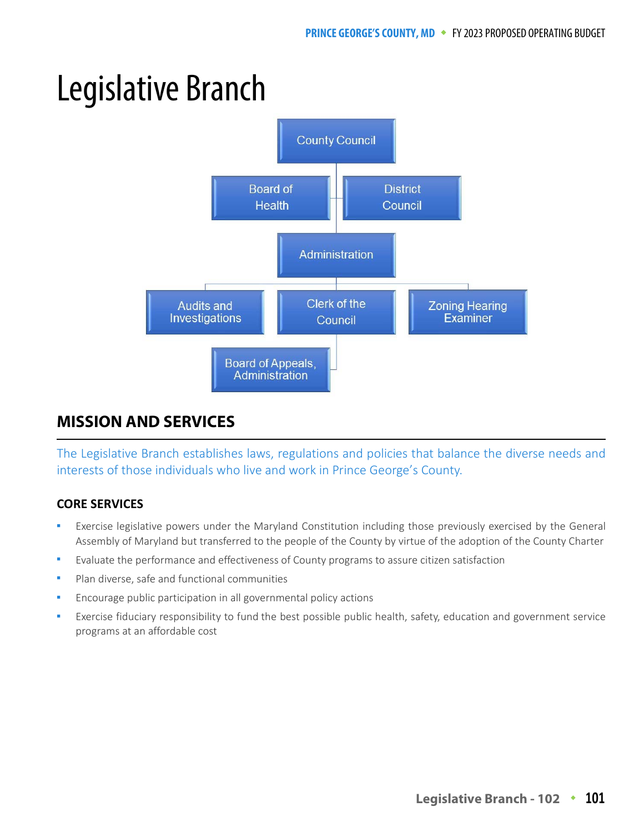# Legislative Branch



## **MISSION AND SERVICES MISSION AND SERVICES**

The Legislative Branch establishes laws, regulations and policies that balance the diverse needs and interests of those individuals who live and work in Prince George's County.

# **CORE SERVICES**

- Exercise legislative powers under the Maryland Constitution including those previously exercised by the General Assembly of Maryland but transferred to the people of the County by virtue of the adoption of the County Charter
- Evaluate the performance and effectiveness of County programs to assure citizen satisfaction
- Plan diverse, safe and functional communities
- Encourage public participation in all governmental policy actions
- Exercise fiduciary responsibility to fund the best possible public health, safety, education and government service programs at an affordable cost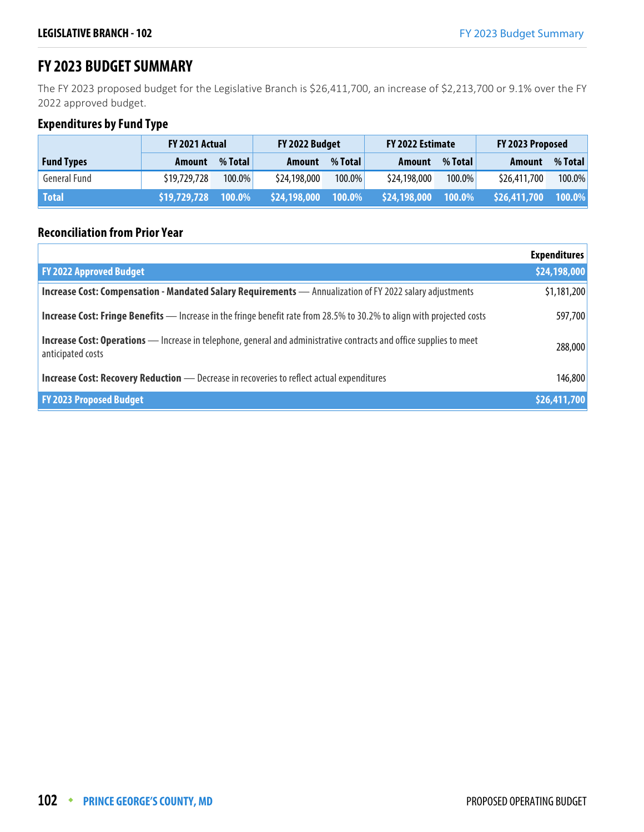# **FY 2023 BUDGET SUMMARY**

The FY 2023 proposed budget for the Legislative Branch is \$26,411,700, an increase of \$2,213,700 or 9.1% over the FY 2022 approved budget.

## **Expenditures by Fund Type**

|                   | <b>FY 2021 Actual</b> |           | FY 2022 Budget |           | FY 2022 Estimate |           | FY 2023 Proposed |         |
|-------------------|-----------------------|-----------|----------------|-----------|------------------|-----------|------------------|---------|
| <b>Fund Types</b> | Amount                | % Total   | Amount         | % Total   | Amount           | % Total   | Amount           | % Total |
| General Fund      | \$19,729,728          | $100.0\%$ | \$24,198,000   | 100.0%    | \$24,198,000     | $100.0\%$ | \$26,411,700     | 100.0%  |
| <b>Total</b>      | \$19,729,728          | 100.0%    | \$24,198,000   | $100.0\%$ | \$24,198,000     | $100.0\%$ | \$26,411,700     | 100.0%  |

## **Reconciliation from Prior Year**

|                                                                                                                                          | <b>Expenditures</b> |
|------------------------------------------------------------------------------------------------------------------------------------------|---------------------|
| <b>FY 2022 Approved Budget</b>                                                                                                           | \$24,198,000        |
| Increase Cost: Compensation - Mandated Salary Requirements - Annualization of FY 2022 salary adjustments                                 | \$1,181,200         |
| <b>Increase Cost: Fringe Benefits</b> — Increase in the fringe benefit rate from 28.5% to 30.2% to align with projected costs            | 597,700             |
| Increase Cost: Operations - Increase in telephone, general and administrative contracts and office supplies to meet<br>anticipated costs | 288,000             |
| <b>Increase Cost: Recovery Reduction</b> - Decrease in recoveries to reflect actual expenditures                                         | 146,800             |
| <b>FY 2023 Proposed Budget</b>                                                                                                           | \$26,411,700        |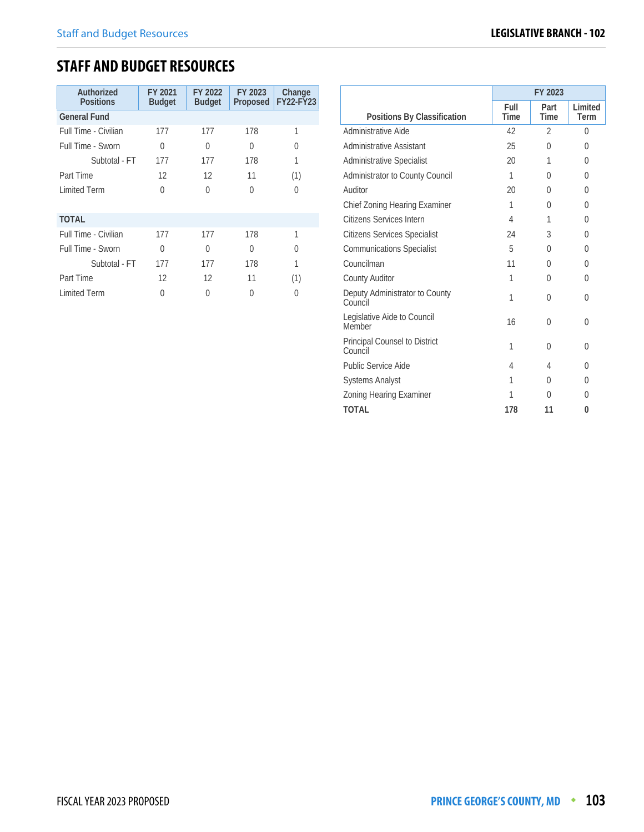# **STAFF AND BUDGET RESOURCES**

| Authorized<br><b>Positions</b> | FY 2021<br><b>Budget</b> | FY 2022<br><b>Budget</b> | FY 2023<br>Proposed | Change<br><b>FY22-FY23</b> |
|--------------------------------|--------------------------|--------------------------|---------------------|----------------------------|
| <b>General Fund</b>            |                          |                          |                     |                            |
| Full Time - Civilian           | 177                      | 177                      | 178                 | 1                          |
| Full Time - Sworn              | 0                        | O                        | U                   | 0                          |
| Subtotal - FT                  | 177                      | 177                      | 178                 | 1                          |
| Part Time                      | 12                       | 12                       | 11                  | (1)                        |
| <b>Limited Term</b>            | 0                        | O                        | U                   | U                          |
|                                |                          |                          |                     |                            |
| <b>TOTAL</b>                   |                          |                          |                     |                            |
| Full Time - Civilian           | 177                      | 177                      | 178                 | 1                          |
| Full Time - Sworn              | 0                        | O                        | <sup>0</sup>        | 0                          |
| Subtotal - FT                  | 177                      | 177                      | 178                 | 1                          |
| Part Time                      | 12                       | 12                       | 11                  | (1)                        |
| <b>Limited Term</b>            | 0                        | 0                        | U                   | 0                          |

|                                           | FY 2023             |                     |                 |  |
|-------------------------------------------|---------------------|---------------------|-----------------|--|
| Positions By Classification               | Full<br><b>Time</b> | Part<br><b>Time</b> | Limited<br>Term |  |
| Administrative Aide                       | 42                  | $\mathfrak{D}$      | $\Omega$        |  |
| Administrative Assistant                  | 25                  | 0                   | 0               |  |
| <b>Administrative Specialist</b>          | 20                  | 1                   | $\Omega$        |  |
| Administrator to County Council           | 1                   | U                   | $\Omega$        |  |
| Auditor                                   | 20                  | U                   | $\Omega$        |  |
| Chief Zoning Hearing Examiner             | 1                   | 0                   | $\theta$        |  |
| Citizens Services Intern                  | 4                   | 1                   | $\Omega$        |  |
| <b>Citizens Services Specialist</b>       | 24                  | 3                   | $\Omega$        |  |
| <b>Communications Specialist</b>          | 5                   | 0                   | $\Omega$        |  |
| Councilman                                | 11                  | O                   | <sup>0</sup>    |  |
| County Auditor                            | 1                   | 0                   | $\Omega$        |  |
| Deputy Administrator to County<br>Council | 1                   | 0                   | 0               |  |
| Legislative Aide to Council<br>Member     | 16                  | 0                   | $\theta$        |  |
| Principal Counsel to District<br>Council  | 1                   | 0                   | 0               |  |
| Public Service Aide                       | 4                   | 4                   | 0               |  |
| <b>Systems Analyst</b>                    | 1                   | 0                   | 0               |  |
| Zoning Hearing Examiner                   | 1                   | U                   | $\Omega$        |  |
| <b>TOTAL</b>                              | 178                 | 11                  | 0               |  |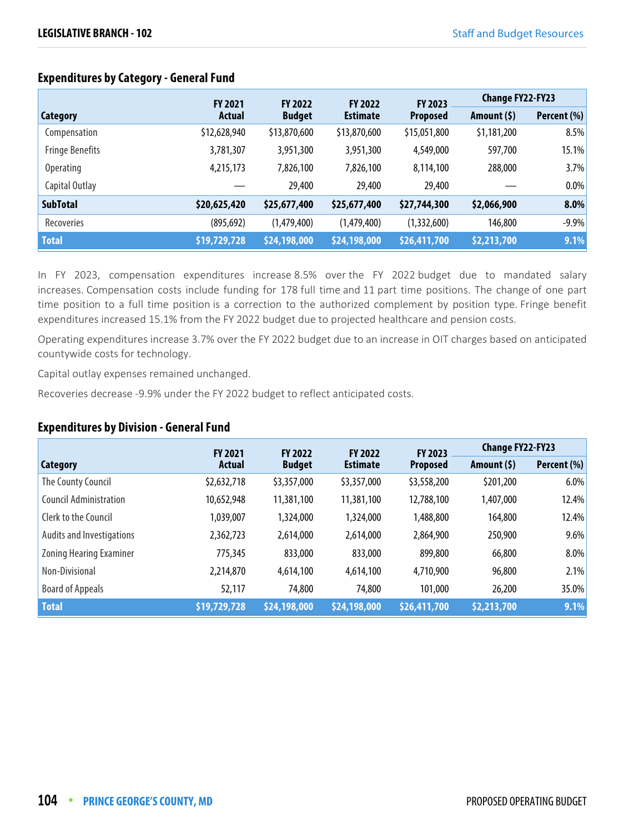|                        | <b>FY 2021</b> | <b>FY 2022</b> | <b>FY 2022</b>  | FY 2023         | <b>Change FY22-FY23</b> |             |
|------------------------|----------------|----------------|-----------------|-----------------|-------------------------|-------------|
| <b>Category</b>        | <b>Actual</b>  | <b>Budget</b>  | <b>Estimate</b> | <b>Proposed</b> | Amount $(5)$            | Percent (%) |
| Compensation           | \$12,628,940   | \$13,870,600   | \$13,870,600    | \$15,051,800    | \$1,181,200             | 8.5%        |
| <b>Fringe Benefits</b> | 3,781,307      | 3,951,300      | 3,951,300       | 4,549,000       | 597,700                 | 15.1%       |
| <b>Operating</b>       | 4,215,173      | 7,826,100      | 7,826,100       | 8,114,100       | 288,000                 | 3.7%        |
| Capital Outlay         |                | 29,400         | 29,400          | 29,400          |                         | 0.0%        |
| <b>SubTotal</b>        | \$20,625,420   | \$25,677,400   | \$25,677,400    | \$27,744,300    | \$2,066,900             | 8.0%        |
| Recoveries             | (895, 692)     | (1,479,400)    | (1,479,400)     | (1,332,600)     | 146,800                 | $-9.9%$     |
| <b>Total</b>           | \$19,729,728   | \$24,198,000   | \$24,198,000    | \$26,411,700    | \$2,213,700             | 9.1%        |

In FY 2023, compensation expenditures increase 8.5% over the FY 2022 budget due to mandated salary increases. Compensation costs include funding for 178 full time and 11 part time positions. The change of one part time position to a full time position is a correction to the authorized complement by position type. Fringe benefit expenditures increased 15.1% from the FY 2022 budget due to projected healthcare and pension costs.

Operating expenditures increase 3.7% over the FY 2022 budget due to an increase in OIT charges based on anticipated countywide costs for technology.

Capital outlay expenses remained unchanged.

Recoveries decrease -9.9% under the FY 2022 budget to reflect anticipated costs.

#### **Expenditures by Division - General Fund**

|                               | <b>FY 2021</b> | <b>FY 2022</b> | <b>FY 2022</b>  | FY 2023         | <b>Change FY22-FY23</b> |             |
|-------------------------------|----------------|----------------|-----------------|-----------------|-------------------------|-------------|
| Category                      | Actual         | <b>Budget</b>  | <b>Estimate</b> | <b>Proposed</b> | Amount (\$)             | Percent (%) |
| The County Council            | \$2,632,718    | \$3,357,000    | \$3,357,000     | \$3,558,200     | \$201,200               | 6.0%        |
| <b>Council Administration</b> | 10,652,948     | 11,381,100     | 11,381,100      | 12,788,100      | 1,407,000               | 12.4%       |
| Clerk to the Council          | 1,039,007      | 1,324,000      | 1,324,000       | 1,488,800       | 164,800                 | 12.4%       |
| Audits and Investigations     | 2,362,723      | 2,614,000      | 2,614,000       | 2,864,900       | 250,900                 | 9.6%        |
| Zoning Hearing Examiner       | 775,345        | 833,000        | 833,000         | 899,800         | 66,800                  | 8.0%        |
| Non-Divisional                | 2,214,870      | 4,614,100      | 4,614,100       | 4,710,900       | 96,800                  | 2.1%        |
| <b>Board of Appeals</b>       | 52,117         | 74,800         | 74,800          | 101,000         | 26,200                  | 35.0%       |
| <b>Total</b>                  | \$19,729,728   | \$24,198,000   | \$24,198,000    | \$26,411,700    | \$2,213,700             | 9.1%        |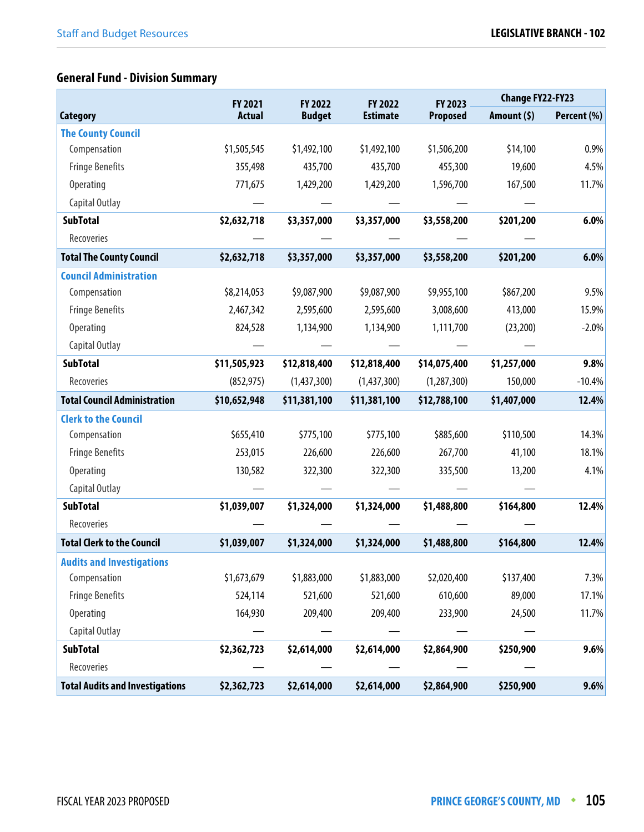# **General Fund - Division Summary**

|                                        | FY 2021       | FY 2022       | FY 2022         | FY 2023         | <b>Change FY22-FY23</b> |             |
|----------------------------------------|---------------|---------------|-----------------|-----------------|-------------------------|-------------|
| <b>Category</b>                        | <b>Actual</b> | <b>Budget</b> | <b>Estimate</b> | <b>Proposed</b> | Amount $(5)$            | Percent (%) |
| <b>The County Council</b>              |               |               |                 |                 |                         |             |
| Compensation                           | \$1,505,545   | \$1,492,100   | \$1,492,100     | \$1,506,200     | \$14,100                | 0.9%        |
| <b>Fringe Benefits</b>                 | 355,498       | 435,700       | 435,700         | 455,300         | 19,600                  | 4.5%        |
| Operating                              | 771,675       | 1,429,200     | 1,429,200       | 1,596,700       | 167,500                 | 11.7%       |
| Capital Outlay                         |               |               |                 |                 |                         |             |
| <b>SubTotal</b>                        | \$2,632,718   | \$3,357,000   | \$3,357,000     | \$3,558,200     | \$201,200               | 6.0%        |
| Recoveries                             |               |               |                 |                 |                         |             |
| <b>Total The County Council</b>        | \$2,632,718   | \$3,357,000   | \$3,357,000     | \$3,558,200     | \$201,200               | 6.0%        |
| <b>Council Administration</b>          |               |               |                 |                 |                         |             |
| Compensation                           | \$8,214,053   | \$9,087,900   | \$9,087,900     | \$9,955,100     | \$867,200               | 9.5%        |
| <b>Fringe Benefits</b>                 | 2,467,342     | 2,595,600     | 2,595,600       | 3,008,600       | 413,000                 | 15.9%       |
| <b>Operating</b>                       | 824,528       | 1,134,900     | 1,134,900       | 1,111,700       | (23, 200)               | $-2.0%$     |
| Capital Outlay                         |               |               |                 |                 |                         |             |
| <b>SubTotal</b>                        | \$11,505,923  | \$12,818,400  | \$12,818,400    | \$14,075,400    | \$1,257,000             | 9.8%        |
| Recoveries                             | (852, 975)    | (1,437,300)   | (1,437,300)     | (1, 287, 300)   | 150,000                 | $-10.4%$    |
| <b>Total Council Administration</b>    | \$10,652,948  | \$11,381,100  | \$11,381,100    | \$12,788,100    | \$1,407,000             | 12.4%       |
| <b>Clerk to the Council</b>            |               |               |                 |                 |                         |             |
| Compensation                           | \$655,410     | \$775,100     | \$775,100       | \$885,600       | \$110,500               | 14.3%       |
| <b>Fringe Benefits</b>                 | 253,015       | 226,600       | 226,600         | 267,700         | 41,100                  | 18.1%       |
| <b>Operating</b>                       | 130,582       | 322,300       | 322,300         | 335,500         | 13,200                  | 4.1%        |
| Capital Outlay                         |               |               |                 |                 |                         |             |
| <b>SubTotal</b>                        | \$1,039,007   | \$1,324,000   | \$1,324,000     | \$1,488,800     | \$164,800               | 12.4%       |
| Recoveries                             |               |               |                 |                 |                         |             |
| <b>Total Clerk to the Council</b>      | \$1,039,007   | \$1,324,000   | \$1,324,000     | \$1,488,800     | \$164,800               | 12.4%       |
| <b>Audits and Investigations</b>       |               |               |                 |                 |                         |             |
| Compensation                           | \$1,673,679   | \$1,883,000   | \$1,883,000     | \$2,020,400     | \$137,400               | 7.3%        |
| <b>Fringe Benefits</b>                 | 524,114       | 521,600       | 521,600         | 610,600         | 89,000                  | 17.1%       |
| Operating                              | 164,930       | 209,400       | 209,400         | 233,900         | 24,500                  | 11.7%       |
| Capital Outlay                         |               |               |                 |                 |                         |             |
| <b>SubTotal</b>                        | \$2,362,723   | \$2,614,000   | \$2,614,000     | \$2,864,900     | \$250,900               | 9.6%        |
| Recoveries                             |               |               |                 |                 |                         |             |
| <b>Total Audits and Investigations</b> | \$2,362,723   | \$2,614,000   | \$2,614,000     | \$2,864,900     | \$250,900               | 9.6%        |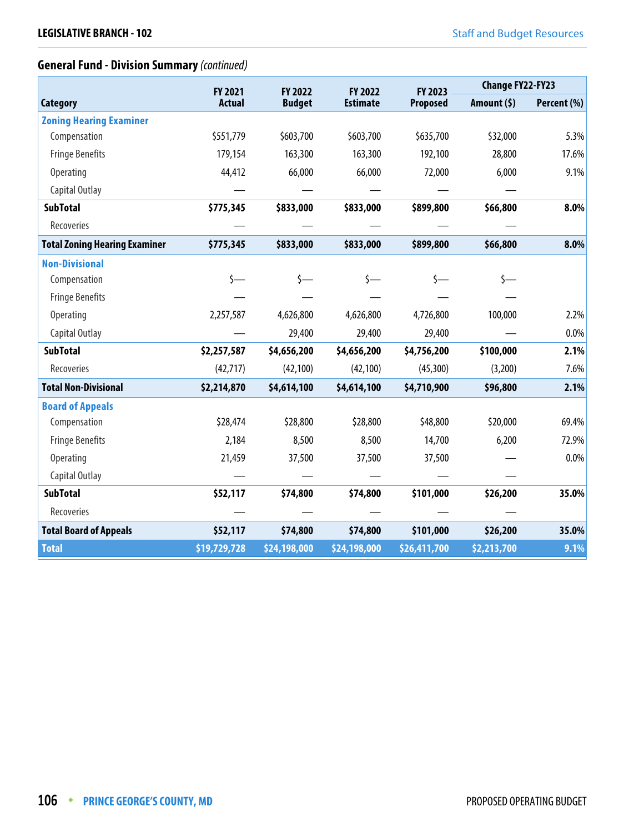# **General Fund - Division Summary** (continued)

|                                      | FY 2021       | FY 2022       | FY 2022         | FY 2023         | <b>Change FY22-FY23</b> |             |
|--------------------------------------|---------------|---------------|-----------------|-----------------|-------------------------|-------------|
| <b>Category</b>                      | <b>Actual</b> | <b>Budget</b> | <b>Estimate</b> | <b>Proposed</b> | Amount $(5)$            | Percent (%) |
| <b>Zoning Hearing Examiner</b>       |               |               |                 |                 |                         |             |
| Compensation                         | \$551,779     | \$603,700     | \$603,700       | \$635,700       | \$32,000                | 5.3%        |
| <b>Fringe Benefits</b>               | 179,154       | 163,300       | 163,300         | 192,100         | 28,800                  | 17.6%       |
| <b>Operating</b>                     | 44,412        | 66,000        | 66,000          | 72,000          | 6,000                   | 9.1%        |
| Capital Outlay                       |               |               |                 |                 |                         |             |
| <b>SubTotal</b>                      | \$775,345     | \$833,000     | \$833,000       | \$899,800       | \$66,800                | 8.0%        |
| Recoveries                           |               |               |                 |                 |                         |             |
| <b>Total Zoning Hearing Examiner</b> | \$775,345     | \$833,000     | \$833,000       | \$899,800       | \$66,800                | 8.0%        |
| <b>Non-Divisional</b>                |               |               |                 |                 |                         |             |
| Compensation                         | \$—           | $\zeta$ —     | s—              |                 | s—                      |             |
| <b>Fringe Benefits</b>               |               |               |                 |                 |                         |             |
| Operating                            | 2,257,587     | 4,626,800     | 4,626,800       | 4,726,800       | 100,000                 | 2.2%        |
| Capital Outlay                       |               | 29,400        | 29,400          | 29,400          |                         | 0.0%        |
| <b>SubTotal</b>                      | \$2,257,587   | \$4,656,200   | \$4,656,200     | \$4,756,200     | \$100,000               | 2.1%        |
| Recoveries                           | (42, 717)     | (42, 100)     | (42, 100)       | (45,300)        | (3,200)                 | 7.6%        |
| <b>Total Non-Divisional</b>          | \$2,214,870   | \$4,614,100   | \$4,614,100     | \$4,710,900     | \$96,800                | 2.1%        |
| <b>Board of Appeals</b>              |               |               |                 |                 |                         |             |
| Compensation                         | \$28,474      | \$28,800      | \$28,800        | \$48,800        | \$20,000                | 69.4%       |
| <b>Fringe Benefits</b>               | 2,184         | 8,500         | 8,500           | 14,700          | 6,200                   | 72.9%       |
| Operating                            | 21,459        | 37,500        | 37,500          | 37,500          |                         | 0.0%        |
| Capital Outlay                       |               |               |                 |                 |                         |             |
| <b>SubTotal</b>                      | \$52,117      | \$74,800      | \$74,800        | \$101,000       | \$26,200                | 35.0%       |
| Recoveries                           |               |               |                 |                 |                         |             |
| <b>Total Board of Appeals</b>        | \$52,117      | \$74,800      | \$74,800        | \$101,000       | \$26,200                | 35.0%       |
| <b>Total</b>                         | \$19,729,728  | \$24,198,000  | \$24,198,000    | \$26,411,700    | \$2,213,700             | 9.1%        |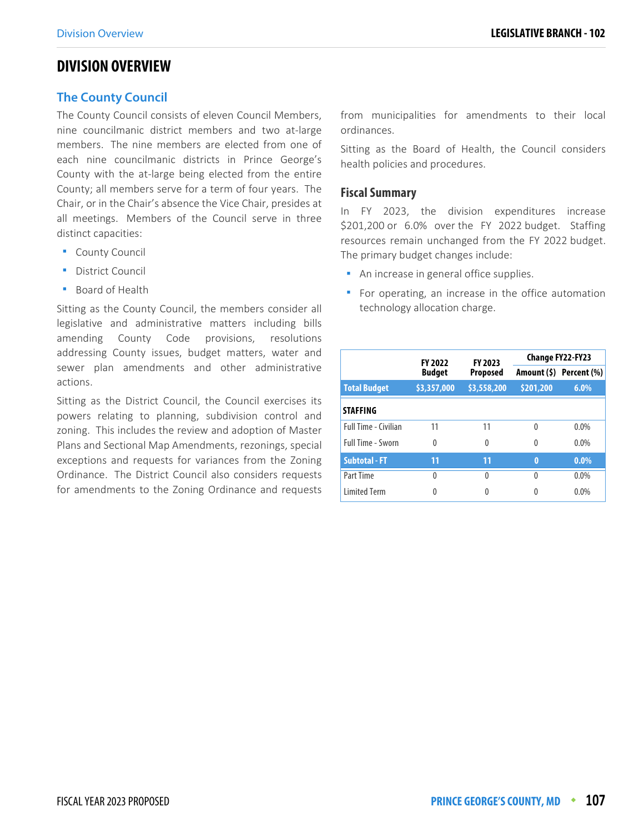## **DIVISION OVERVIEW**

#### **The County Council**

The County Council consists of eleven Council Members, nine councilmanic district members and two at-large members. The nine members are elected from one of each nine councilmanic districts in Prince George's County with the at-large being elected from the entire County; all members serve for a term of four years. The Chair, or in the Chair's absence the Vice Chair, presides at all meetings. Members of the Council serve in three distinct capacities:

- **-** County Council
- **District Council**
- **Board of Health**

Sitting as the County Council, the members consider all legislative and administrative matters including bills amending County Code provisions, resolutions addressing County issues, budget matters, water and sewer plan amendments and other administrative actions.

Sitting as the District Council, the Council exercises its powers relating to planning, subdivision control and zoning. This includes the review and adoption of Master Plans and Sectional Map Amendments, rezonings, special exceptions and requests for variances from the Zoning Ordinance. The District Council also considers requests for amendments to the Zoning Ordinance and requests from municipalities for amendments to their local ordinances.

Sitting as the Board of Health, the Council considers health policies and procedures.

#### **Fiscal Summary**

In FY 2023, the division expenditures increase \$201,200 or 6.0% over the FY 2022 budget. Staffing resources remain unchanged from the FY 2022 budget. The primary budget changes include:

- **An increase in general office supplies.**
- **For operating, an increase in the office automation** technology allocation charge.

|                          | FY 2023<br><b>FY 2022</b><br><b>Budget</b><br><b>Proposed</b> |             | <b>Change FY22-FY23</b> |                         |  |
|--------------------------|---------------------------------------------------------------|-------------|-------------------------|-------------------------|--|
|                          |                                                               |             |                         | Amount (\$) Percent (%) |  |
| <b>Total Budget</b>      | \$3,357,000                                                   | \$3,558,200 | \$201,200               | 6.0%                    |  |
| <b>STAFFING</b>          |                                                               |             |                         |                         |  |
| Full Time - Civilian     | 11                                                            | 11          | 0                       | $0.0\%$                 |  |
| <b>Full Time - Sworn</b> | $\Omega$                                                      | 0           | 0                       | $0.0\%$                 |  |
| <b>Subtotal - FT</b>     | 11                                                            | 11          | $\bf{0}$                | $0.0\%$                 |  |
| Part Time                | $\Omega$                                                      | 0           | $\Omega$                | $0.0\%$                 |  |
| <b>Limited Term</b>      | 0                                                             |             | 0                       | $0.0\%$                 |  |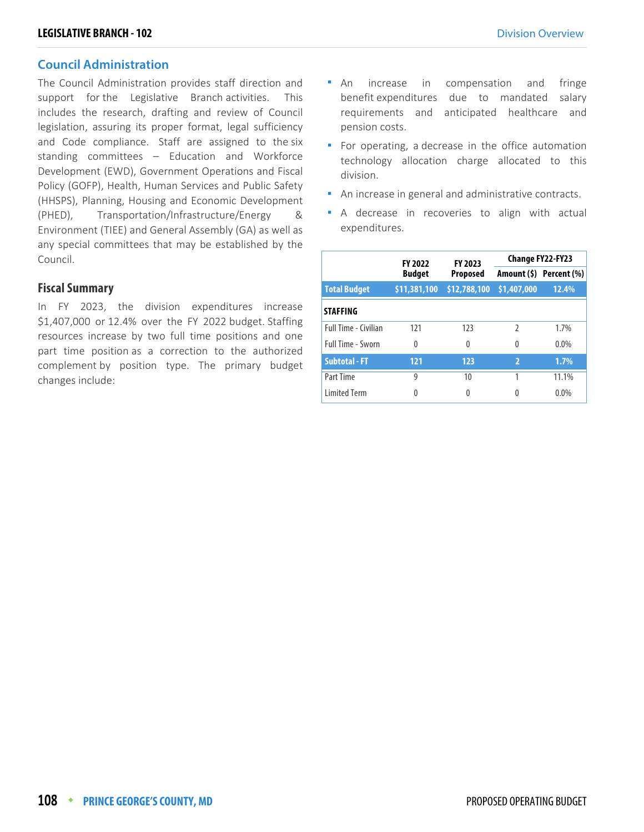#### **Council Administration**

The Council Administration provides staff direction and support for the Legislative Branch activities. This includes the research, drafting and review of Council legislation, assuring its proper format, legal sufficiency and Code compliance. Staff are assigned to the six standing committees – Education and Workforce Development (EWD), Government Operations and Fiscal Policy (GOFP), Health, Human Services and Public Safety (HHSPS), Planning, Housing and Economic Development (PHED), Transportation/Infrastructure/Energy & Environment (TIEE) and General Assembly (GA) as well as any special committees that may be established by the Council.

#### **Fiscal Summary**

In FY 2023, the division expenditures increase \$1,407,000 or 12.4% over the FY 2022 budget. Staffing resources increase by two full time positions and one part time position as a correction to the authorized complement by position type. The primary budget changes include:

- An increase in compensation and fringe benefit expenditures due to mandated salary requirements and anticipated healthcare and pension costs.
- For operating, a decrease in the office automation technology allocation charge allocated to this division.
- An increase in general and administrative contracts.
- A decrease in recoveries to align with actual expenditures.

|                      | <b>FY 2022</b> | FY 2023         | Change FY22-FY23 |                         |  |
|----------------------|----------------|-----------------|------------------|-------------------------|--|
|                      | <b>Budget</b>  | <b>Proposed</b> |                  | Amount (\$) Percent (%) |  |
| <b>Total Budget</b>  | \$11,381,100   | \$12,788,100    | \$1,407,000      | 12.4%                   |  |
| <b>STAFFING</b>      |                |                 |                  |                         |  |
| Full Time - Civilian | 121            | 123             | $\mathfrak{I}$   | 1.7%                    |  |
| Full Time - Sworn    | $\Omega$       | $\theta$        | 0                | 0.0%                    |  |
| <b>Subtotal - FT</b> | 121            | 123             | $\overline{2}$   | 1.7%                    |  |
| Part Time            | 9              | 10              |                  | 11.1%                   |  |
| <b>Limited Term</b>  | 0              | 0               | 0                | 0.0%                    |  |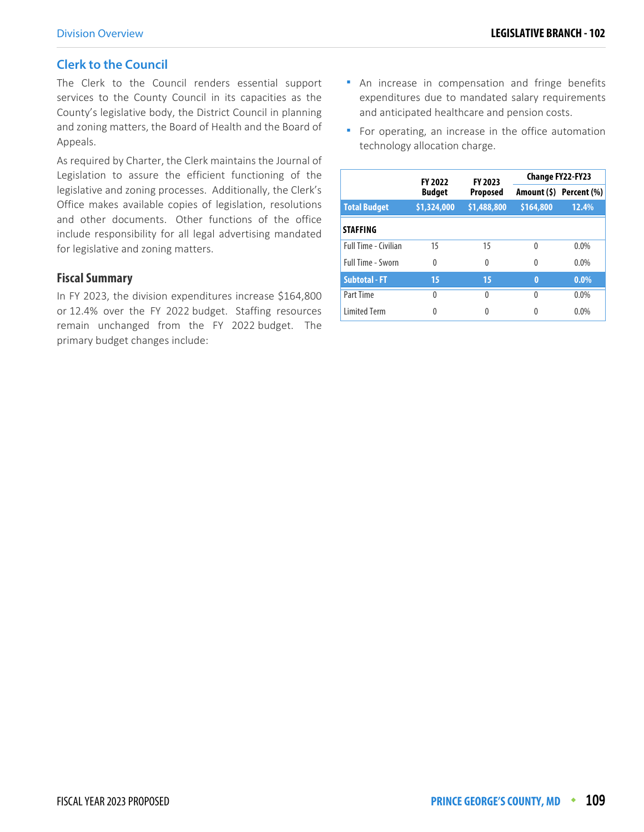#### **Clerk to the Council**

The Clerk to the Council renders essential support services to the County Council in its capacities as the County's legislative body, the District Council in planning and zoning matters, the Board of Health and the Board of Appeals.

As required by Charter, the Clerk maintains the Journal of Legislation to assure the efficient functioning of the legislative and zoning processes. Additionally, the Clerk's Office makes available copies of legislation, resolutions and other documents. Other functions of the office include responsibility for all legal advertising mandated for legislative and zoning matters.

#### **Fiscal Summary**

In FY 2023, the division expenditures increase \$164,800 or 12.4% over the FY 2022 budget. Staffing resources remain unchanged from the FY 2022 budget. The primary budget changes include:

- **An increase in compensation and fringe benefits** expenditures due to mandated salary requirements and anticipated healthcare and pension costs.
- **F** For operating, an increase in the office automation technology allocation charge.

|                             | <b>FY 2022</b> | FY 2023     |           | Change FY22-FY23        |  |
|-----------------------------|----------------|-------------|-----------|-------------------------|--|
|                             | <b>Budget</b>  | Proposed    |           | Amount (\$) Percent (%) |  |
| <b>Total Budget</b>         | \$1,324,000    | \$1,488,800 | \$164,800 | 12.4%                   |  |
| <b>STAFFING</b>             |                |             |           |                         |  |
| <b>Full Time - Civilian</b> | 15             | 15          | 0         | $0.0\%$                 |  |
| <b>Full Time - Sworn</b>    | 0              | 0           | 0         | $0.0\%$                 |  |
| <b>Subtotal - FT</b>        | 15             | 15          | $\bf{0}$  | $0.0\%$                 |  |
| Part Time                   | $\Omega$       | 0           | $\Omega$  | 0.0%                    |  |
| <b>Limited Term</b>         | Λ              | Λ           | Λ         | 0.0%                    |  |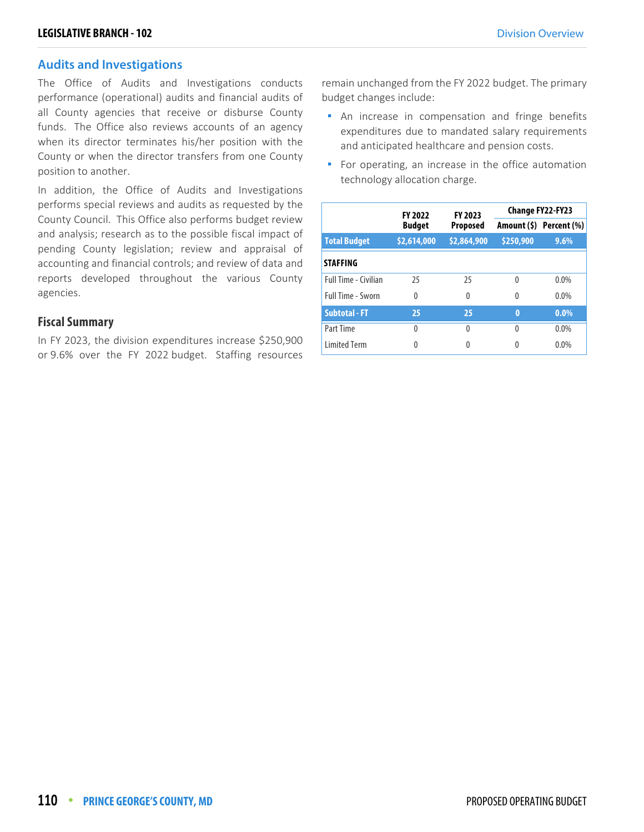#### **Audits and Investigations**

The Office of Audits and Investigations conducts performance (operational) audits and financial audits of all County agencies that receive or disburse County funds. The Office also reviews accounts of an agency when its director terminates his/her position with the County or when the director transfers from one County position to another.

In addition, the Office of Audits and Investigations performs special reviews and audits as requested by the County Council. This Office also performs budget review and analysis; research as to the possible fiscal impact of pending County legislation; review and appraisal of accounting and financial controls; and review of data and reports developed throughout the various County agencies.

#### **Fiscal Summary**

In FY 2023, the division expenditures increase \$250,900 or 9.6% over the FY 2022 budget. Staffing resources

remain unchanged from the FY 2022 budget. The primary budget changes include:

- **An increase in compensation and fringe benefits** expenditures due to mandated salary requirements and anticipated healthcare and pension costs.
- For operating, an increase in the office automation technology allocation charge.

|                      | <b>FY 2022</b><br><b>Budget</b> | <b>FY 2023</b><br><b>Proposed</b> | <b>Change FY22-FY23</b> |                         |
|----------------------|---------------------------------|-----------------------------------|-------------------------|-------------------------|
|                      |                                 |                                   |                         | Amount (\$) Percent (%) |
| <b>Total Budget</b>  | \$2,614,000                     | \$2,864,900                       | \$250,900               | 9.6%                    |
| <b>STAFFING</b>      |                                 |                                   |                         |                         |
| Full Time - Civilian | 25                              | 25                                | $\Omega$                | $0.0\%$                 |
| Full Time - Sworn    | $\Omega$                        | 0                                 | 0                       | $0.0\%$                 |
| <b>Subtotal - FT</b> | 25                              | 25                                | $\bf{0}$                | $0.0\%$                 |
| Part Time            | $\Omega$                        | $\Omega$                          | U                       | $0.0\%$                 |
| <b>Limited Term</b>  | 0                               | 0                                 |                         | $0.0\%$                 |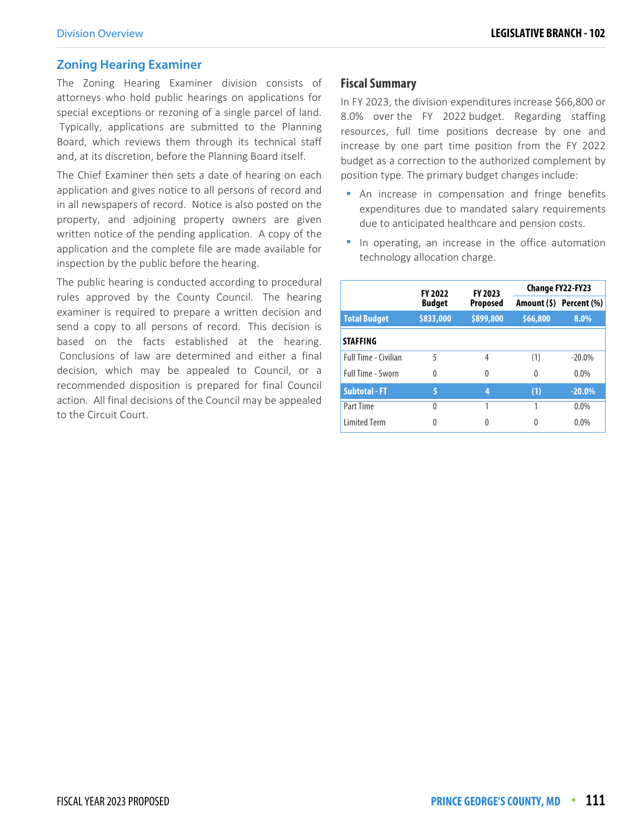#### **Zoning Hearing Examiner**

The Zoning Hearing Examiner division consists of attorneys who hold public hearings on applications for special exceptions or rezoning of a single parcel of land. Typically, applications are submitted to the Planning Board, which reviews them through its technical staff and, at its discretion, before the Planning Board itself.

The Chief Examiner then sets a date of hearing on each application and gives notice to all persons of record and in all newspapers of record. Notice is also posted on the property, and adjoining property owners are given written notice of the pending application. A copy of the application and the complete file are made available for inspection by the public before the hearing.

The public hearing is conducted according to procedural rules approved by the County Council. The hearing examiner is required to prepare a written decision and send a copy to all persons of record. This decision is based on the facts established at the hearing. Conclusions of law are determined and either a final decision, which may be appealed to Council, or a recommended disposition is prepared for final Council action. All final decisions of the Council may be appealed to the Circuit Court.

#### **Fiscal Summary**

In FY 2023, the division expenditures increase \$66,800 or 8.0% over the FY 2022 budget. Regarding staffing resources, full time positions decrease by one and increase by one part time position from the FY 2022 budget as a correction to the authorized complement by position type. The primary budget changes include:

- **An increase in compensation and fringe benefits** expenditures due to mandated salary requirements due to anticipated healthcare and pension costs.
- **In operating, an increase in the office automation** technology allocation charge.

|                      | <b>FY 2022</b><br><b>Budget</b> | FY 2023<br><b>Proposed</b> | Change FY22-FY23 |                         |
|----------------------|---------------------------------|----------------------------|------------------|-------------------------|
|                      |                                 |                            |                  | Amount (\$) Percent (%) |
| <b>Total Budget</b>  | \$833,000                       | \$899,800                  | \$66,800         | 8.0%                    |
| <b>STAFFING</b>      |                                 |                            |                  |                         |
| Full Time - Civilian | 5                               | 4                          | (1)              | $-20.0\%$               |
| Full Time - Sworn    | 0                               | $\theta$                   | 0                | $0.0\%$                 |
| <b>Subtotal - FT</b> | 5                               | 4                          | (1)              | $-20.0%$                |
| Part Time            | 0                               | 1                          |                  | $0.0\%$                 |
| <b>Limited Term</b>  | 0                               | 0                          | 0                | 0.0%                    |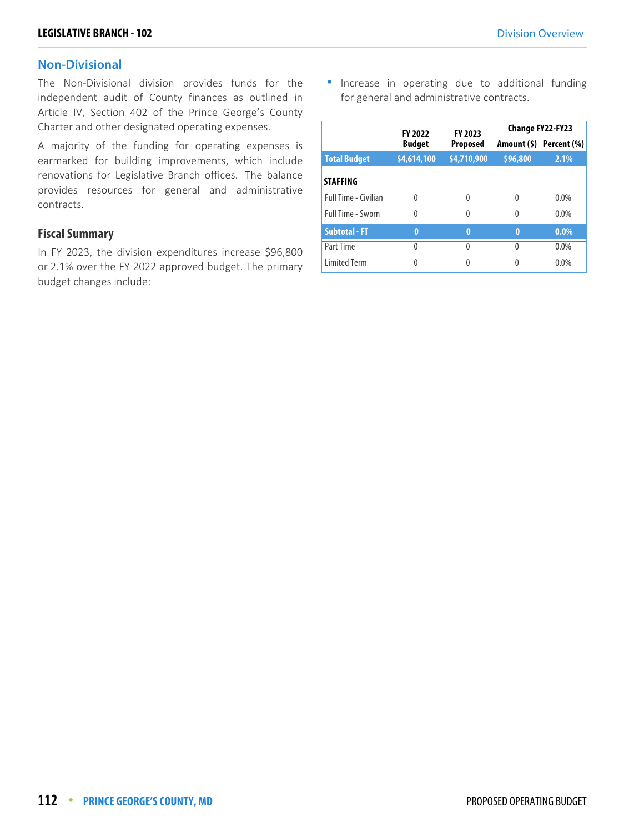#### **Non-Divisional**

The Non-Divisional division provides funds for the independent audit of County finances as outlined in Article IV, Section 402 of the Prince George's County Charter and other designated operating expenses.

A majority of the funding for operating expenses is earmarked for building improvements, which include renovations for Legislative Branch offices. The balance provides resources for general and administrative contracts.

#### **Fiscal Summary**

In FY 2023, the division expenditures increase \$96,800 or 2.1% over the FY 2022 approved budget. The primary budget changes include:

**Increase in operating due to additional funding** for general and administrative contracts.

|                             | <b>FY 2022</b><br><b>Budget</b> | FY 2023<br><b>Proposed</b> | Change FY22-FY23 |                         |
|-----------------------------|---------------------------------|----------------------------|------------------|-------------------------|
|                             |                                 |                            |                  | Amount (\$) Percent (%) |
| <b>Total Budget</b>         | \$4,614,100                     | \$4,710,900                | \$96,800         | 2.1%                    |
| <b>STAFFING</b>             |                                 |                            |                  |                         |
| <b>Full Time - Civilian</b> | $\Omega$                        | 0                          | $\mathbf{0}$     | $0.0\%$                 |
| <b>Full Time - Sworn</b>    | 0                               | 0                          | $\mathbf{0}$     | $0.0\%$                 |
| <b>Subtotal - FT</b>        | $\bf{0}$                        | $\bf{0}$                   | $\bf{0}$         | $0.0\%$                 |
| Part Time                   | $\mathbf{0}$                    | $\Omega$                   | $\Omega$         | $0.0\%$                 |
| <b>Limited Term</b>         | 0                               |                            | 0                | 0.0%                    |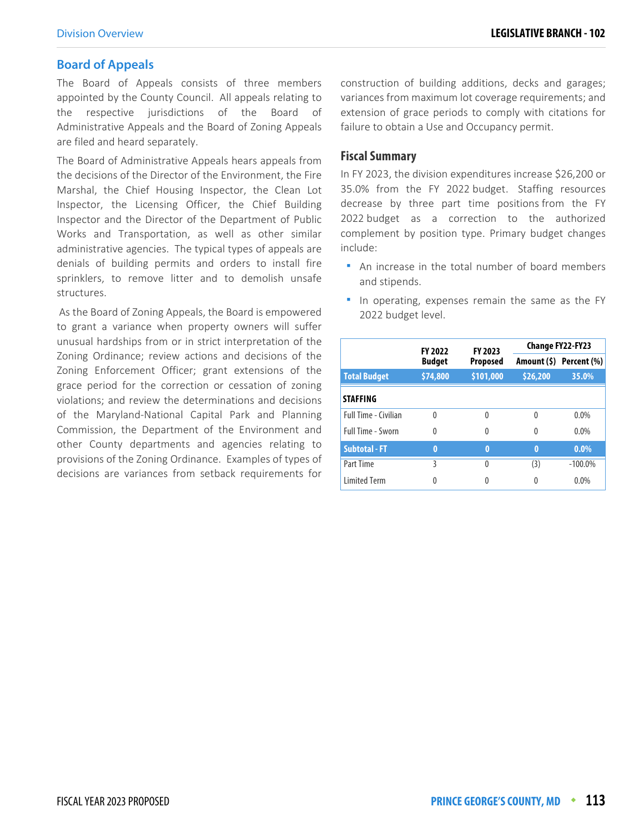#### **Board of Appeals**

The Board of Appeals consists of three members appointed by the County Council. All appeals relating to the respective jurisdictions of the Board of Administrative Appeals and the Board of Zoning Appeals are filed and heard separately.

The Board of Administrative Appeals hears appeals from the decisions of the Director of the Environment, the Fire Marshal, the Chief Housing Inspector, the Clean Lot Inspector, the Licensing Officer, the Chief Building Inspector and the Director of the Department of Public Works and Transportation, as well as other similar administrative agencies. The typical types of appeals are denials of building permits and orders to install fire sprinklers, to remove litter and to demolish unsafe structures.

 As the Board of Zoning Appeals, the Board is empowered to grant a variance when property owners will suffer unusual hardships from or in strict interpretation of the Zoning Ordinance; review actions and decisions of the Zoning Enforcement Officer; grant extensions of the grace period for the correction or cessation of zoning violations; and review the determinations and decisions of the Maryland-National Capital Park and Planning Commission, the Department of the Environment and other County departments and agencies relating to provisions of the Zoning Ordinance. Examples of types of decisions are variances from setback requirements for

construction of building additions, decks and garages; variances from maximum lot coverage requirements; and extension of grace periods to comply with citations for failure to obtain a Use and Occupancy permit.

#### **Fiscal Summary**

In FY 2023, the division expenditures increase \$26,200 or 35.0% from the FY 2022 budget. Staffing resources decrease by three part time positions from the FY 2022 budget as a correction to the authorized complement by position type. Primary budget changes include:

- An increase in the total number of board members and stipends.
- In operating, expenses remain the same as the FY 2022 budget level.

|                      | <b>FY 2022</b><br><b>Budget</b> | FY 2023<br><b>Proposed</b> | Change FY22-FY23 |                         |
|----------------------|---------------------------------|----------------------------|------------------|-------------------------|
|                      |                                 |                            |                  | Amount (\$) Percent (%) |
| <b>Total Budget</b>  | \$74,800                        | \$101,000                  | \$26,200         | 35.0%                   |
| <b>STAFFING</b>      |                                 |                            |                  |                         |
| Full Time - Civilian | $\Omega$                        | 0                          | $\Omega$         | $0.0\%$                 |
| Full Time - Sworn    | $\Omega$                        | 0                          | 0                | $0.0\%$                 |
| <b>Subtotal - FT</b> | 0                               | Ō                          | $\bf{0}$         | $0.0\%$                 |
| Part Time            | 3                               | $\Omega$                   | (3)              | $-100.0\%$              |
| <b>Limited Term</b>  | 0                               |                            | 0                | $0.0\%$                 |